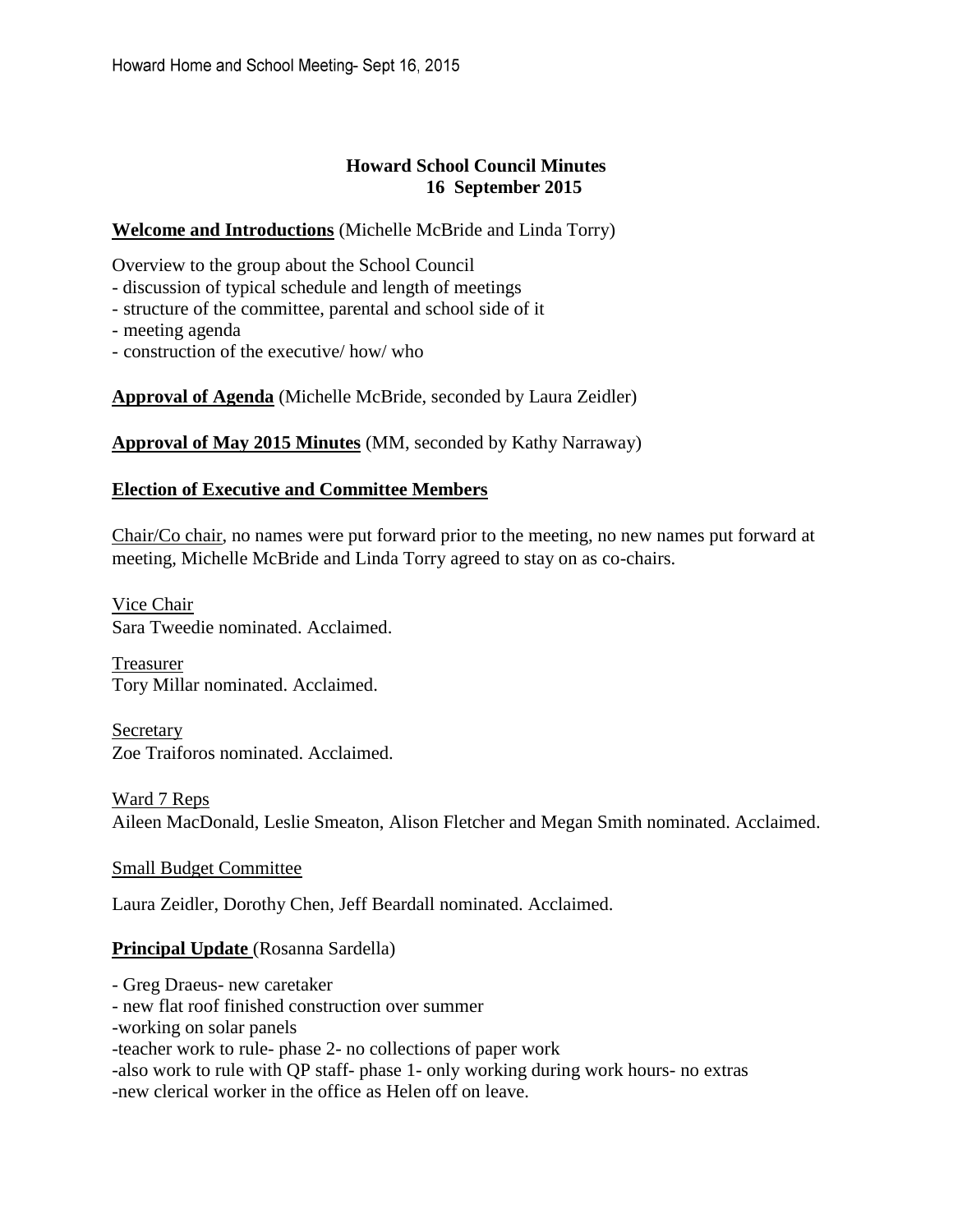# **Howard School Council Minutes 16 September 2015**

## **Welcome and Introductions** (Michelle McBride and Linda Torry)

Overview to the group about the School Council

- discussion of typical schedule and length of meetings
- structure of the committee, parental and school side of it
- meeting agenda
- construction of the executive/ how/ who

**Approval of Agenda** (Michelle McBride, seconded by Laura Zeidler)

**Approval of May 2015 Minutes** (MM, seconded by Kathy Narraway)

#### **Election of Executive and Committee Members**

Chair/Co chair, no names were put forward prior to the meeting, no new names put forward at meeting, Michelle McBride and Linda Torry agreed to stay on as co-chairs.

Vice Chair Sara Tweedie nominated. Acclaimed.

Treasurer Tory Millar nominated. Acclaimed.

Secretary Zoe Traiforos nominated. Acclaimed.

Ward 7 Reps Aileen MacDonald, Leslie Smeaton, Alison Fletcher and Megan Smith nominated. Acclaimed.

# Small Budget Committee

Laura Zeidler, Dorothy Chen, Jeff Beardall nominated. Acclaimed.

# **Principal Update** (Rosanna Sardella)

- Greg Draeus- new caretaker - new flat roof finished construction over summer -working on solar panels -teacher work to rule- phase 2- no collections of paper work -also work to rule with QP staff- phase 1- only working during work hours- no extras -new clerical worker in the office as Helen off on leave.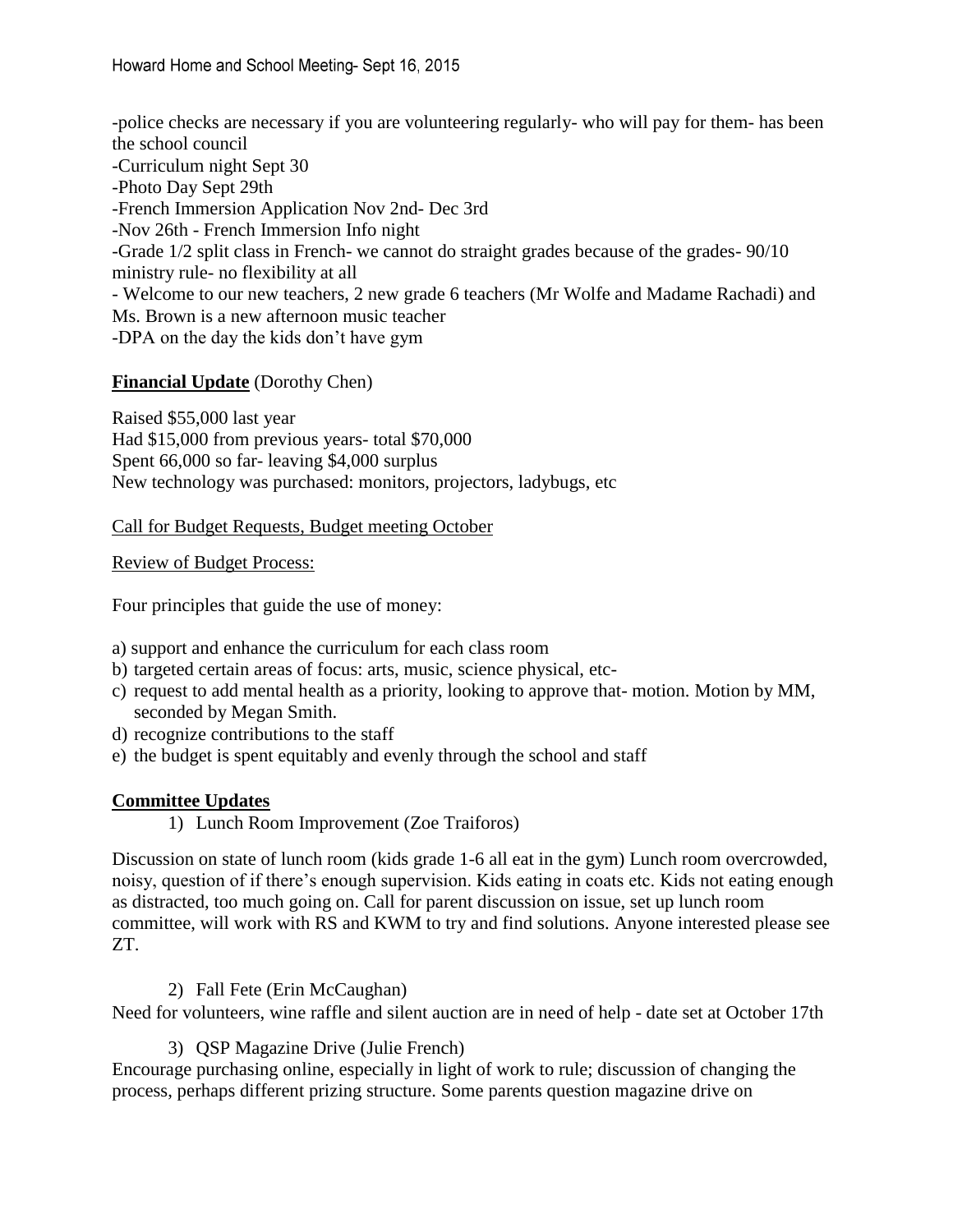-police checks are necessary if you are volunteering regularly- who will pay for them- has been the school council -Curriculum night Sept 30 -Photo Day Sept 29th -French Immersion Application Nov 2nd- Dec 3rd -Nov 26th - French Immersion Info night -Grade 1/2 split class in French- we cannot do straight grades because of the grades- 90/10 ministry rule- no flexibility at all - Welcome to our new teachers, 2 new grade 6 teachers (Mr Wolfe and Madame Rachadi) and Ms. Brown is a new afternoon music teacher -DPA on the day the kids don't have gym

# **Financial Update** (Dorothy Chen)

Raised \$55,000 last year Had \$15,000 from previous years- total \$70,000 Spent 66,000 so far- leaving \$4,000 surplus New technology was purchased: monitors, projectors, ladybugs, etc

Call for Budget Requests, Budget meeting October

Review of Budget Process:

Four principles that guide the use of money:

a) support and enhance the curriculum for each class room

- b) targeted certain areas of focus: arts, music, science physical, etc-
- c) request to add mental health as a priority, looking to approve that- motion. Motion by MM, seconded by Megan Smith.
- d) recognize contributions to the staff
- e) the budget is spent equitably and evenly through the school and staff

#### **Committee Updates**

1) Lunch Room Improvement (Zoe Traiforos)

Discussion on state of lunch room (kids grade 1-6 all eat in the gym) Lunch room overcrowded, noisy, question of if there's enough supervision. Kids eating in coats etc. Kids not eating enough as distracted, too much going on. Call for parent discussion on issue, set up lunch room committee, will work with RS and KWM to try and find solutions. Anyone interested please see ZT.

#### 2) Fall Fete (Erin McCaughan)

Need for volunteers, wine raffle and silent auction are in need of help - date set at October 17th

3) QSP Magazine Drive (Julie French)

Encourage purchasing online, especially in light of work to rule; discussion of changing the process, perhaps different prizing structure. Some parents question magazine drive on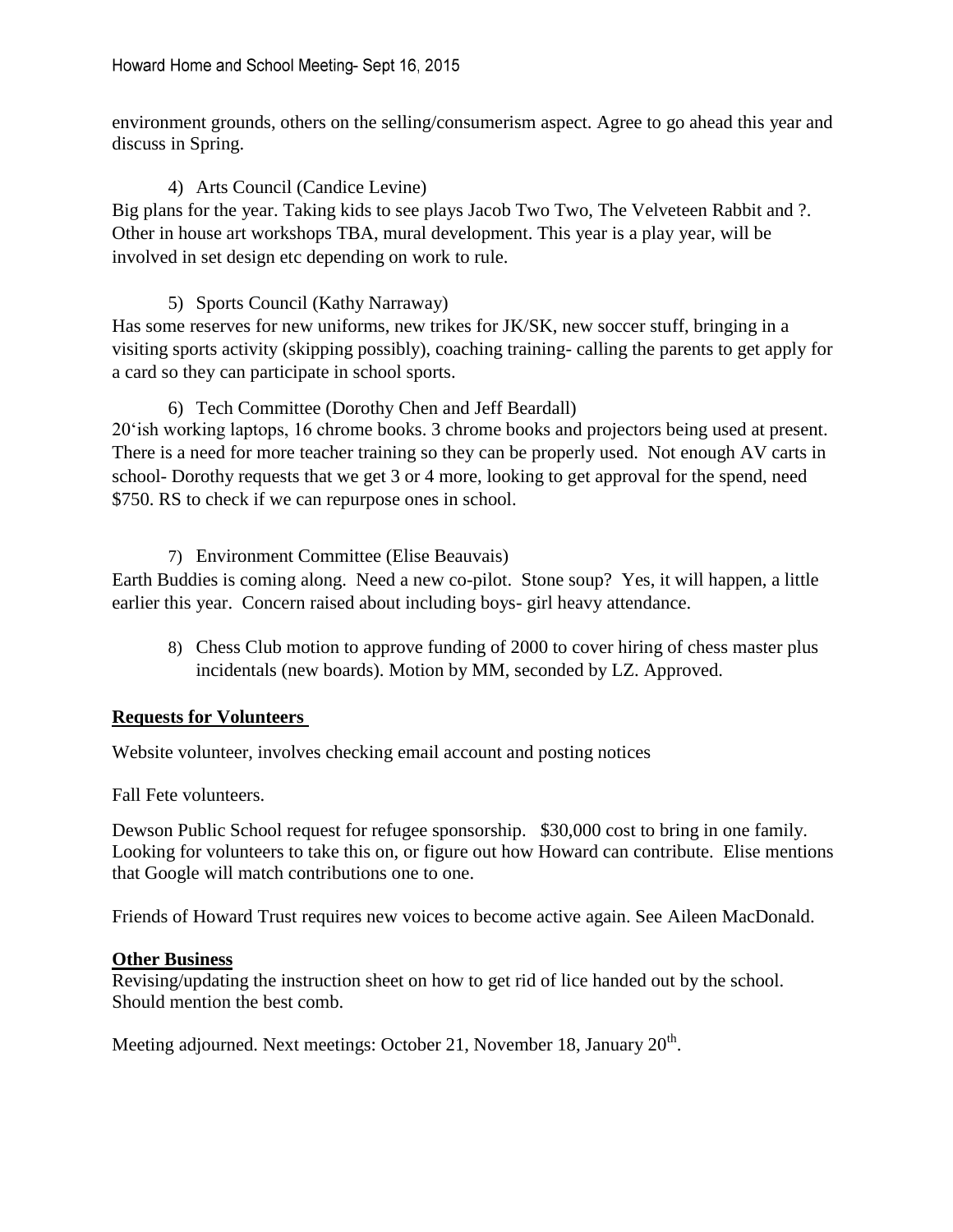environment grounds, others on the selling/consumerism aspect. Agree to go ahead this year and discuss in Spring.

# 4) Arts Council (Candice Levine)

Big plans for the year. Taking kids to see plays Jacob Two Two, The Velveteen Rabbit and ?. Other in house art workshops TBA, mural development. This year is a play year, will be involved in set design etc depending on work to rule.

# 5) Sports Council (Kathy Narraway)

Has some reserves for new uniforms, new trikes for JK/SK, new soccer stuff, bringing in a visiting sports activity (skipping possibly), coaching training- calling the parents to get apply for a card so they can participate in school sports.

# 6) Tech Committee (Dorothy Chen and Jeff Beardall)

20'ish working laptops, 16 chrome books. 3 chrome books and projectors being used at present. There is a need for more teacher training so they can be properly used. Not enough AV carts in school- Dorothy requests that we get 3 or 4 more, looking to get approval for the spend, need \$750. RS to check if we can repurpose ones in school.

# 7) Environment Committee (Elise Beauvais)

Earth Buddies is coming along. Need a new co-pilot. Stone soup? Yes, it will happen, a little earlier this year. Concern raised about including boys- girl heavy attendance.

8) Chess Club motion to approve funding of 2000 to cover hiring of chess master plus incidentals (new boards). Motion by MM, seconded by LZ. Approved.

# **Requests for Volunteers**

Website volunteer, involves checking email account and posting notices

Fall Fete volunteers.

Dewson Public School request for refugee sponsorship. \$30,000 cost to bring in one family. Looking for volunteers to take this on, or figure out how Howard can contribute. Elise mentions that Google will match contributions one to one.

Friends of Howard Trust requires new voices to become active again. See Aileen MacDonald.

# **Other Business**

Revising/updating the instruction sheet on how to get rid of lice handed out by the school. Should mention the best comb.

Meeting adjourned. Next meetings: October 21, November 18, January  $20<sup>th</sup>$ .